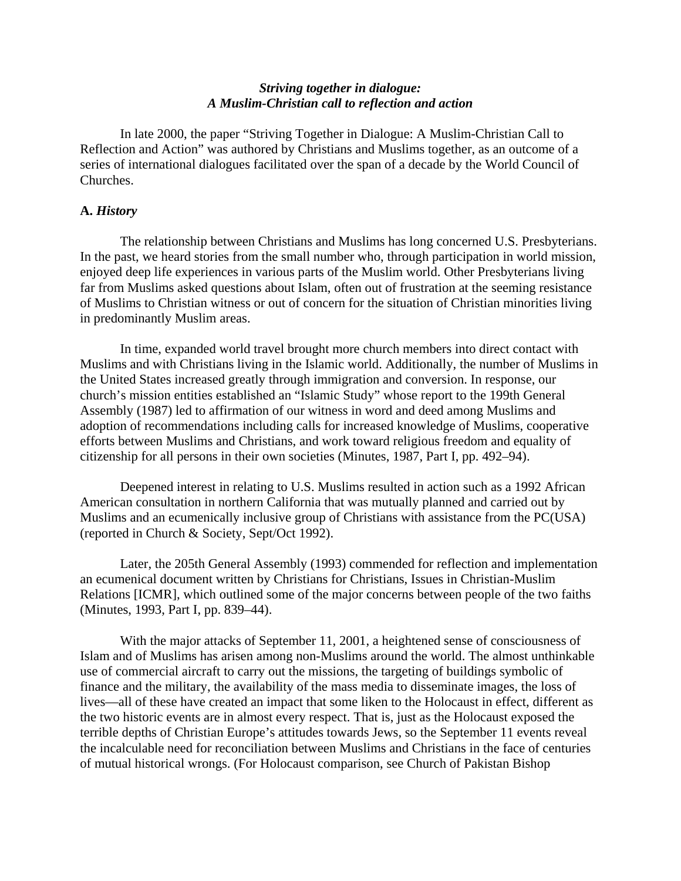### *Striving together in dialogue: A Muslim-Christian call to reflection and action*

In late 2000, the paper "Striving Together in Dialogue: A Muslim-Christian Call to Reflection and Action" was authored by Christians and Muslims together, as an outcome of a series of international dialogues facilitated over the span of a decade by the World Council of Churches.

### **A.** *History*

The relationship between Christians and Muslims has long concerned U.S. Presbyterians. In the past, we heard stories from the small number who, through participation in world mission, enjoyed deep life experiences in various parts of the Muslim world. Other Presbyterians living far from Muslims asked questions about Islam, often out of frustration at the seeming resistance of Muslims to Christian witness or out of concern for the situation of Christian minorities living in predominantly Muslim areas.

In time, expanded world travel brought more church members into direct contact with Muslims and with Christians living in the Islamic world. Additionally, the number of Muslims in the United States increased greatly through immigration and conversion. In response, our church's mission entities established an "Islamic Study" whose report to the 199th General Assembly (1987) led to affirmation of our witness in word and deed among Muslims and adoption of recommendations including calls for increased knowledge of Muslims, cooperative efforts between Muslims and Christians, and work toward religious freedom and equality of citizenship for all persons in their own societies (Minutes, 1987, Part I, pp. 492–94).

Deepened interest in relating to U.S. Muslims resulted in action such as a 1992 African American consultation in northern California that was mutually planned and carried out by Muslims and an ecumenically inclusive group of Christians with assistance from the PC(USA) (reported in Church & Society, Sept/Oct 1992).

Later, the 205th General Assembly (1993) commended for reflection and implementation an ecumenical document written by Christians for Christians, Issues in Christian-Muslim Relations [ICMR], which outlined some of the major concerns between people of the two faiths (Minutes, 1993, Part I, pp. 839–44).

With the major attacks of September 11, 2001, a heightened sense of consciousness of Islam and of Muslims has arisen among non-Muslims around the world. The almost unthinkable use of commercial aircraft to carry out the missions, the targeting of buildings symbolic of finance and the military, the availability of the mass media to disseminate images, the loss of lives—all of these have created an impact that some liken to the Holocaust in effect, different as the two historic events are in almost every respect. That is, just as the Holocaust exposed the terrible depths of Christian Europe's attitudes towards Jews, so the September 11 events reveal the incalculable need for reconciliation between Muslims and Christians in the face of centuries of mutual historical wrongs. (For Holocaust comparison, see Church of Pakistan Bishop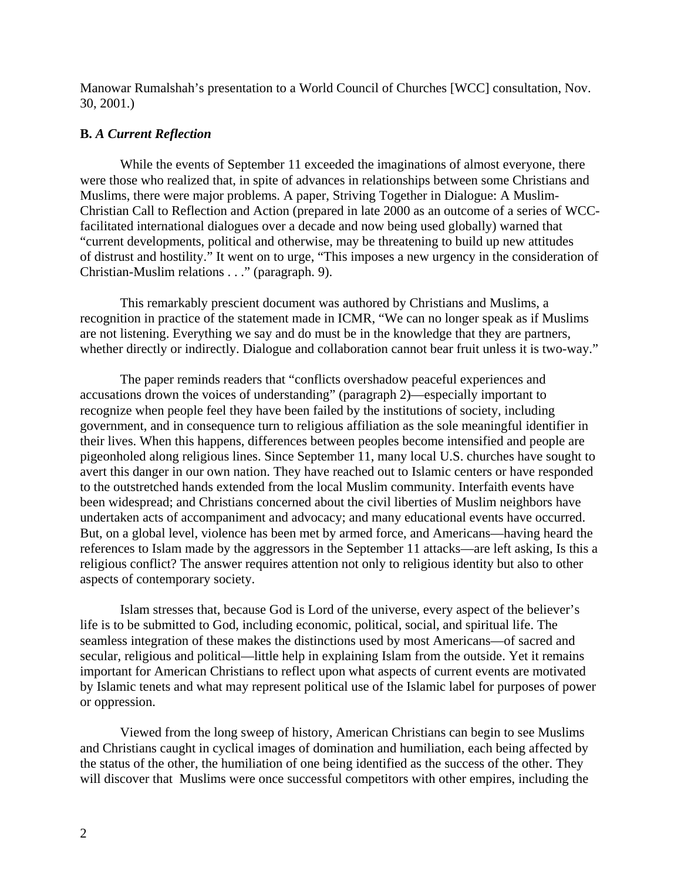Manowar Rumalshah's presentation to a World Council of Churches [WCC] consultation, Nov. 30, 2001.)

#### **B.** *A Current Reflection*

While the events of September 11 exceeded the imaginations of almost everyone, there were those who realized that, in spite of advances in relationships between some Christians and Muslims, there were major problems. A paper, Striving Together in Dialogue: A Muslim-Christian Call to Reflection and Action (prepared in late 2000 as an outcome of a series of WCCfacilitated international dialogues over a decade and now being used globally) warned that "current developments, political and otherwise, may be threatening to build up new attitudes of distrust and hostility." It went on to urge, "This imposes a new urgency in the consideration of Christian-Muslim relations . . ." (paragraph. 9).

This remarkably prescient document was authored by Christians and Muslims, a recognition in practice of the statement made in ICMR, "We can no longer speak as if Muslims are not listening. Everything we say and do must be in the knowledge that they are partners, whether directly or indirectly. Dialogue and collaboration cannot bear fruit unless it is two-way."

The paper reminds readers that "conflicts overshadow peaceful experiences and accusations drown the voices of understanding" (paragraph 2)—especially important to recognize when people feel they have been failed by the institutions of society, including government, and in consequence turn to religious affiliation as the sole meaningful identifier in their lives. When this happens, differences between peoples become intensified and people are pigeonholed along religious lines. Since September 11, many local U.S. churches have sought to avert this danger in our own nation. They have reached out to Islamic centers or have responded to the outstretched hands extended from the local Muslim community. Interfaith events have been widespread; and Christians concerned about the civil liberties of Muslim neighbors have undertaken acts of accompaniment and advocacy; and many educational events have occurred. But, on a global level, violence has been met by armed force, and Americans—having heard the references to Islam made by the aggressors in the September 11 attacks—are left asking, Is this a religious conflict? The answer requires attention not only to religious identity but also to other aspects of contemporary society.

Islam stresses that, because God is Lord of the universe, every aspect of the believer's life is to be submitted to God, including economic, political, social, and spiritual life. The seamless integration of these makes the distinctions used by most Americans—of sacred and secular, religious and political—little help in explaining Islam from the outside. Yet it remains important for American Christians to reflect upon what aspects of current events are motivated by Islamic tenets and what may represent political use of the Islamic label for purposes of power or oppression.

Viewed from the long sweep of history, American Christians can begin to see Muslims and Christians caught in cyclical images of domination and humiliation, each being affected by the status of the other, the humiliation of one being identified as the success of the other. They will discover that Muslims were once successful competitors with other empires, including the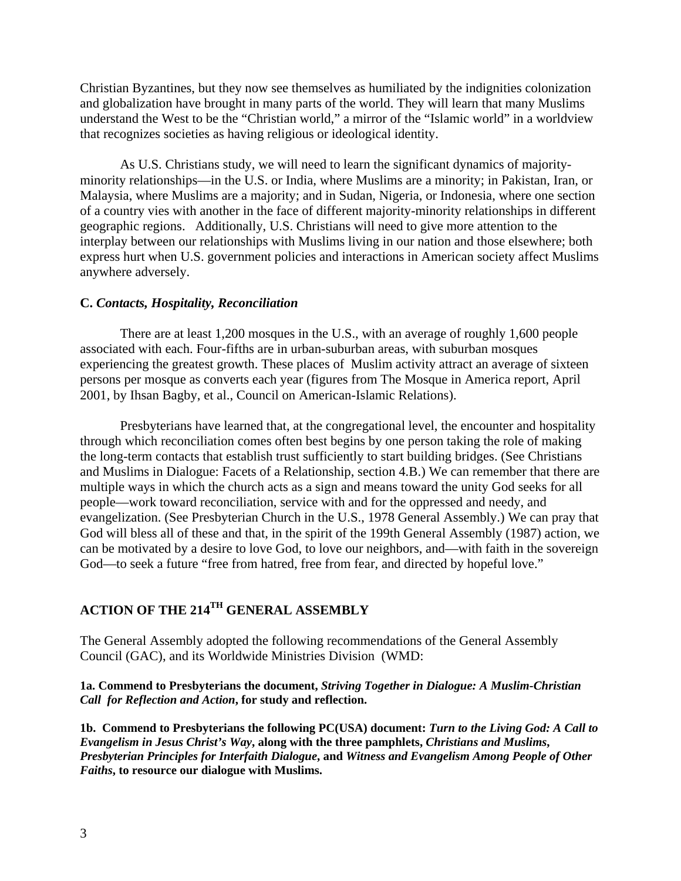Christian Byzantines, but they now see themselves as humiliated by the indignities colonization and globalization have brought in many parts of the world. They will learn that many Muslims understand the West to be the "Christian world," a mirror of the "Islamic world" in a worldview that recognizes societies as having religious or ideological identity.

As U.S. Christians study, we will need to learn the significant dynamics of majorityminority relationships—in the U.S. or India, where Muslims are a minority; in Pakistan, Iran, or Malaysia, where Muslims are a majority; and in Sudan, Nigeria, or Indonesia, where one section of a country vies with another in the face of different majority-minority relationships in different geographic regions. Additionally, U.S. Christians will need to give more attention to the interplay between our relationships with Muslims living in our nation and those elsewhere; both express hurt when U.S. government policies and interactions in American society affect Muslims anywhere adversely.

### **C.** *Contacts, Hospitality, Reconciliation*

There are at least 1,200 mosques in the U.S., with an average of roughly 1,600 people associated with each. Four-fifths are in urban-suburban areas, with suburban mosques experiencing the greatest growth. These places of Muslim activity attract an average of sixteen persons per mosque as converts each year (figures from The Mosque in America report, April 2001, by Ihsan Bagby, et al., Council on American-Islamic Relations).

Presbyterians have learned that, at the congregational level, the encounter and hospitality through which reconciliation comes often best begins by one person taking the role of making the long-term contacts that establish trust sufficiently to start building bridges. (See Christians and Muslims in Dialogue: Facets of a Relationship, section 4.B.) We can remember that there are multiple ways in which the church acts as a sign and means toward the unity God seeks for all people—work toward reconciliation, service with and for the oppressed and needy, and evangelization. (See Presbyterian Church in the U.S., 1978 General Assembly.) We can pray that God will bless all of these and that, in the spirit of the 199th General Assembly (1987) action, we can be motivated by a desire to love God, to love our neighbors, and—with faith in the sovereign God—to seek a future "free from hatred, free from fear, and directed by hopeful love."

## **ACTION OF THE 214TH GENERAL ASSEMBLY**

The General Assembly adopted the following recommendations of the General Assembly Council (GAC), and its Worldwide Ministries Division (WMD:

### **1a. Commend to Presbyterians the document,** *Striving Together in Dialogue: A Muslim-Christian Call for Reflection and Action***, for study and reflection.**

**1b. Commend to Presbyterians the following PC(USA) document:** *Turn to the Living God: A Call to Evangelism in Jesus Christ's Way***, along with the three pamphlets,** *Christians and Muslims***,**  *Presbyterian Principles for Interfaith Dialogue***, and** *Witness and Evangelism Among People of Other Faiths***, to resource our dialogue with Muslims.**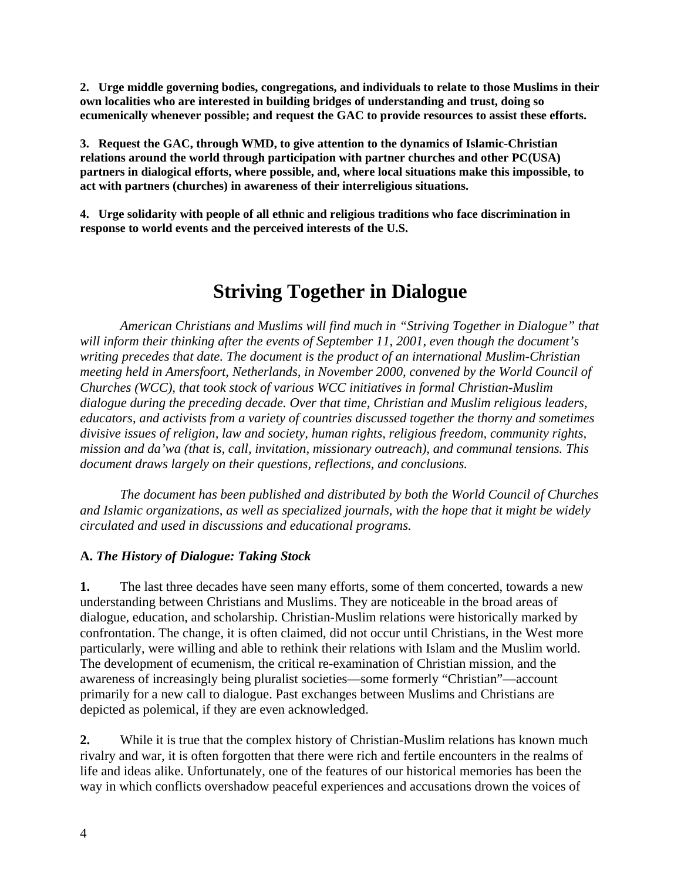**2. Urge middle governing bodies, congregations, and individuals to relate to those Muslims in their own localities who are interested in building bridges of understanding and trust, doing so ecumenically whenever possible; and request the GAC to provide resources to assist these efforts.** 

**3. Request the GAC, through WMD, to give attention to the dynamics of Islamic-Christian relations around the world through participation with partner churches and other PC(USA) partners in dialogical efforts, where possible, and, where local situations make this impossible, to act with partners (churches) in awareness of their interreligious situations.** 

**4. Urge solidarity with people of all ethnic and religious traditions who face discrimination in response to world events and the perceived interests of the U.S.** 

# **Striving Together in Dialogue**

*American Christians and Muslims will find much in "Striving Together in Dialogue" that will inform their thinking after the events of September 11, 2001, even though the document's writing precedes that date. The document is the product of an international Muslim-Christian meeting held in Amersfoort, Netherlands, in November 2000, convened by the World Council of Churches (WCC), that took stock of various WCC initiatives in formal Christian-Muslim dialogue during the preceding decade. Over that time, Christian and Muslim religious leaders, educators, and activists from a variety of countries discussed together the thorny and sometimes divisive issues of religion, law and society, human rights, religious freedom, community rights, mission and da'wa (that is, call, invitation, missionary outreach), and communal tensions. This document draws largely on their questions, reflections, and conclusions.* 

*The document has been published and distributed by both the World Council of Churches and Islamic organizations, as well as specialized journals, with the hope that it might be widely circulated and used in discussions and educational programs.*

## **A.** *The History of Dialogue: Taking Stock*

**1.** The last three decades have seen many efforts, some of them concerted, towards a new understanding between Christians and Muslims. They are noticeable in the broad areas of dialogue, education, and scholarship. Christian-Muslim relations were historically marked by confrontation. The change, it is often claimed, did not occur until Christians, in the West more particularly, were willing and able to rethink their relations with Islam and the Muslim world. The development of ecumenism, the critical re-examination of Christian mission, and the awareness of increasingly being pluralist societies—some formerly "Christian"—account primarily for a new call to dialogue. Past exchanges between Muslims and Christians are depicted as polemical, if they are even acknowledged.

**2.** While it is true that the complex history of Christian-Muslim relations has known much rivalry and war, it is often forgotten that there were rich and fertile encounters in the realms of life and ideas alike. Unfortunately, one of the features of our historical memories has been the way in which conflicts overshadow peaceful experiences and accusations drown the voices of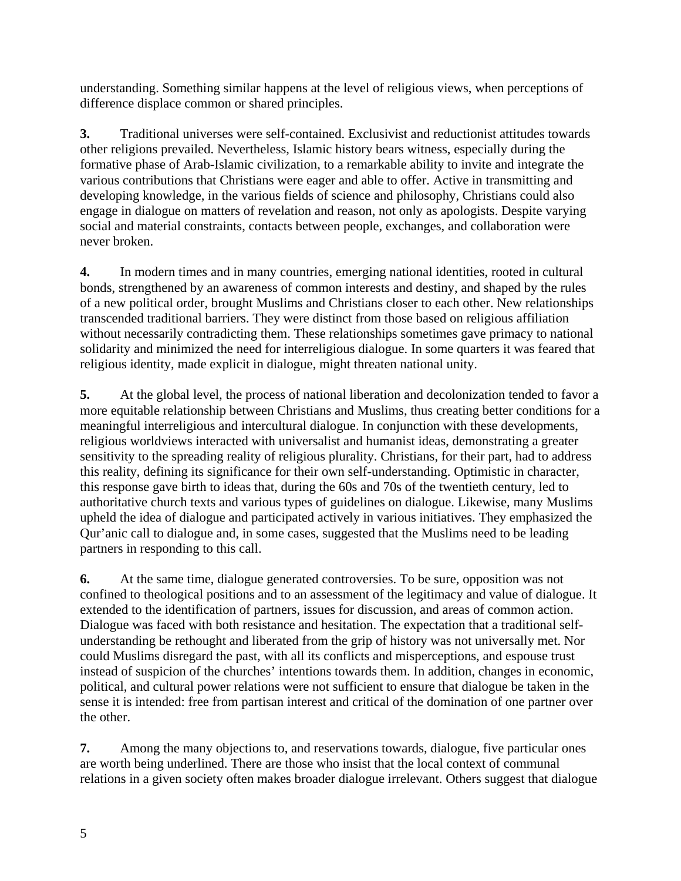understanding. Something similar happens at the level of religious views, when perceptions of difference displace common or shared principles.

**3.** Traditional universes were self-contained. Exclusivist and reductionist attitudes towards other religions prevailed. Nevertheless, Islamic history bears witness, especially during the formative phase of Arab-Islamic civilization, to a remarkable ability to invite and integrate the various contributions that Christians were eager and able to offer. Active in transmitting and developing knowledge, in the various fields of science and philosophy, Christians could also engage in dialogue on matters of revelation and reason, not only as apologists. Despite varying social and material constraints, contacts between people, exchanges, and collaboration were never broken.

**4.** In modern times and in many countries, emerging national identities, rooted in cultural bonds, strengthened by an awareness of common interests and destiny, and shaped by the rules of a new political order, brought Muslims and Christians closer to each other. New relationships transcended traditional barriers. They were distinct from those based on religious affiliation without necessarily contradicting them. These relationships sometimes gave primacy to national solidarity and minimized the need for interreligious dialogue. In some quarters it was feared that religious identity, made explicit in dialogue, might threaten national unity.

**5.** At the global level, the process of national liberation and decolonization tended to favor a more equitable relationship between Christians and Muslims, thus creating better conditions for a meaningful interreligious and intercultural dialogue. In conjunction with these developments, religious worldviews interacted with universalist and humanist ideas, demonstrating a greater sensitivity to the spreading reality of religious plurality. Christians, for their part, had to address this reality, defining its significance for their own self-understanding. Optimistic in character, this response gave birth to ideas that, during the 60s and 70s of the twentieth century, led to authoritative church texts and various types of guidelines on dialogue. Likewise, many Muslims upheld the idea of dialogue and participated actively in various initiatives. They emphasized the Qur'anic call to dialogue and, in some cases, suggested that the Muslims need to be leading partners in responding to this call.

**6.** At the same time, dialogue generated controversies. To be sure, opposition was not confined to theological positions and to an assessment of the legitimacy and value of dialogue. It extended to the identification of partners, issues for discussion, and areas of common action. Dialogue was faced with both resistance and hesitation. The expectation that a traditional selfunderstanding be rethought and liberated from the grip of history was not universally met. Nor could Muslims disregard the past, with all its conflicts and misperceptions, and espouse trust instead of suspicion of the churches' intentions towards them. In addition, changes in economic, political, and cultural power relations were not sufficient to ensure that dialogue be taken in the sense it is intended: free from partisan interest and critical of the domination of one partner over the other.

**7.** Among the many objections to, and reservations towards, dialogue, five particular ones are worth being underlined. There are those who insist that the local context of communal relations in a given society often makes broader dialogue irrelevant. Others suggest that dialogue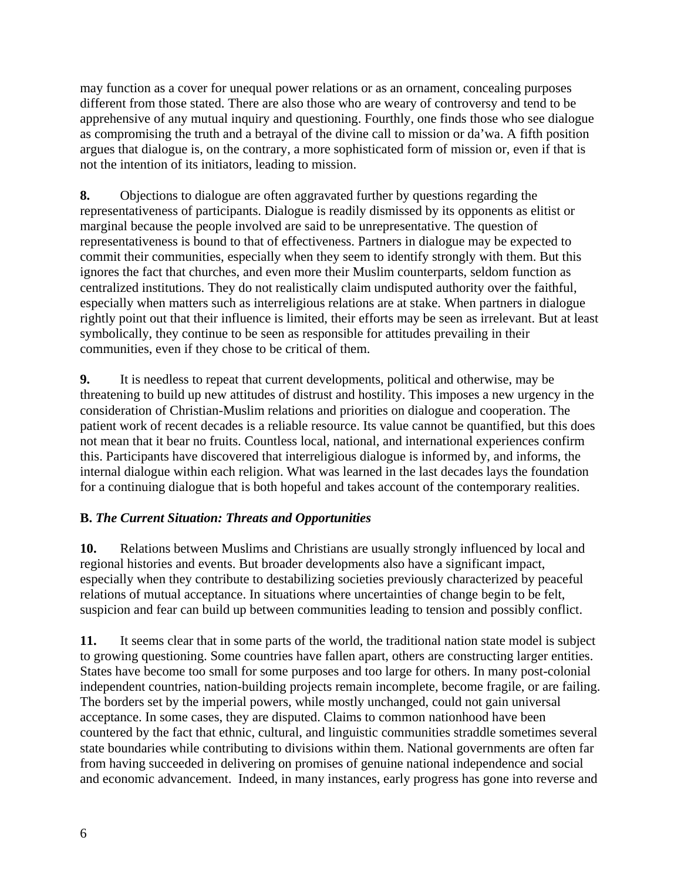may function as a cover for unequal power relations or as an ornament, concealing purposes different from those stated. There are also those who are weary of controversy and tend to be apprehensive of any mutual inquiry and questioning. Fourthly, one finds those who see dialogue as compromising the truth and a betrayal of the divine call to mission or da'wa. A fifth position argues that dialogue is, on the contrary, a more sophisticated form of mission or, even if that is not the intention of its initiators, leading to mission.

**8.** Objections to dialogue are often aggravated further by questions regarding the representativeness of participants. Dialogue is readily dismissed by its opponents as elitist or marginal because the people involved are said to be unrepresentative. The question of representativeness is bound to that of effectiveness. Partners in dialogue may be expected to commit their communities, especially when they seem to identify strongly with them. But this ignores the fact that churches, and even more their Muslim counterparts, seldom function as centralized institutions. They do not realistically claim undisputed authority over the faithful, especially when matters such as interreligious relations are at stake. When partners in dialogue rightly point out that their influence is limited, their efforts may be seen as irrelevant. But at least symbolically, they continue to be seen as responsible for attitudes prevailing in their communities, even if they chose to be critical of them.

**9.** It is needless to repeat that current developments, political and otherwise, may be threatening to build up new attitudes of distrust and hostility. This imposes a new urgency in the consideration of Christian-Muslim relations and priorities on dialogue and cooperation. The patient work of recent decades is a reliable resource. Its value cannot be quantified, but this does not mean that it bear no fruits. Countless local, national, and international experiences confirm this. Participants have discovered that interreligious dialogue is informed by, and informs, the internal dialogue within each religion. What was learned in the last decades lays the foundation for a continuing dialogue that is both hopeful and takes account of the contemporary realities.

## **B.** *The Current Situation: Threats and Opportunities*

**10.** Relations between Muslims and Christians are usually strongly influenced by local and regional histories and events. But broader developments also have a significant impact, especially when they contribute to destabilizing societies previously characterized by peaceful relations of mutual acceptance. In situations where uncertainties of change begin to be felt, suspicion and fear can build up between communities leading to tension and possibly conflict.

**11.** It seems clear that in some parts of the world, the traditional nation state model is subject to growing questioning. Some countries have fallen apart, others are constructing larger entities. States have become too small for some purposes and too large for others. In many post-colonial independent countries, nation-building projects remain incomplete, become fragile, or are failing. The borders set by the imperial powers, while mostly unchanged, could not gain universal acceptance. In some cases, they are disputed. Claims to common nationhood have been countered by the fact that ethnic, cultural, and linguistic communities straddle sometimes several state boundaries while contributing to divisions within them. National governments are often far from having succeeded in delivering on promises of genuine national independence and social and economic advancement. Indeed, in many instances, early progress has gone into reverse and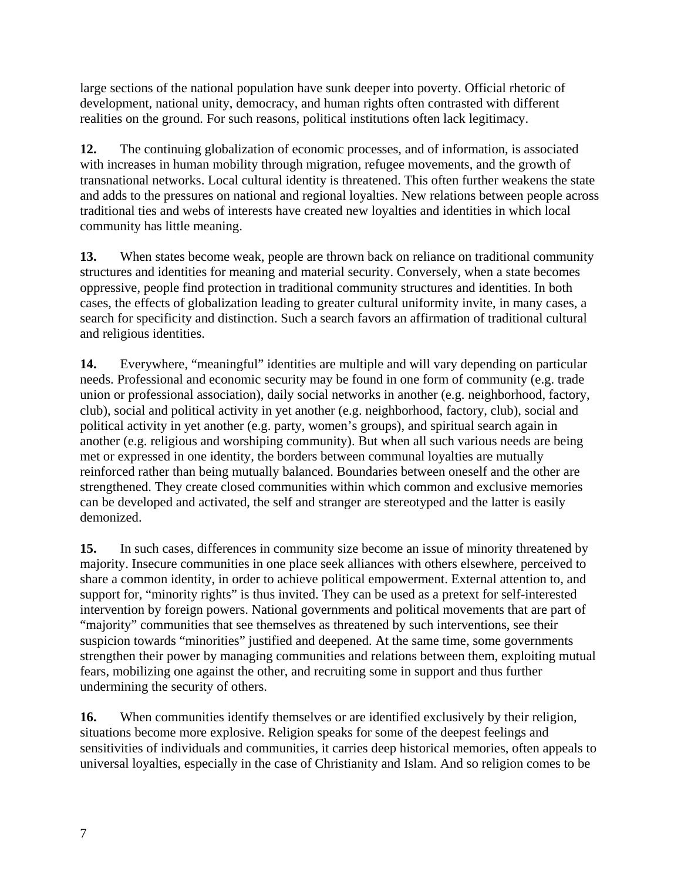large sections of the national population have sunk deeper into poverty. Official rhetoric of development, national unity, democracy, and human rights often contrasted with different realities on the ground. For such reasons, political institutions often lack legitimacy.

**12.** The continuing globalization of economic processes, and of information, is associated with increases in human mobility through migration, refugee movements, and the growth of transnational networks. Local cultural identity is threatened. This often further weakens the state and adds to the pressures on national and regional loyalties. New relations between people across traditional ties and webs of interests have created new loyalties and identities in which local community has little meaning.

**13.** When states become weak, people are thrown back on reliance on traditional community structures and identities for meaning and material security. Conversely, when a state becomes oppressive, people find protection in traditional community structures and identities. In both cases, the effects of globalization leading to greater cultural uniformity invite, in many cases, a search for specificity and distinction. Such a search favors an affirmation of traditional cultural and religious identities.

**14.** Everywhere, "meaningful" identities are multiple and will vary depending on particular needs. Professional and economic security may be found in one form of community (e.g. trade union or professional association), daily social networks in another (e.g. neighborhood, factory, club), social and political activity in yet another (e.g. neighborhood, factory, club), social and political activity in yet another (e.g. party, women's groups), and spiritual search again in another (e.g. religious and worshiping community). But when all such various needs are being met or expressed in one identity, the borders between communal loyalties are mutually reinforced rather than being mutually balanced. Boundaries between oneself and the other are strengthened. They create closed communities within which common and exclusive memories can be developed and activated, the self and stranger are stereotyped and the latter is easily demonized.

**15.** In such cases, differences in community size become an issue of minority threatened by majority. Insecure communities in one place seek alliances with others elsewhere, perceived to share a common identity, in order to achieve political empowerment. External attention to, and support for, "minority rights" is thus invited. They can be used as a pretext for self-interested intervention by foreign powers. National governments and political movements that are part of "majority" communities that see themselves as threatened by such interventions, see their suspicion towards "minorities" justified and deepened. At the same time, some governments strengthen their power by managing communities and relations between them, exploiting mutual fears, mobilizing one against the other, and recruiting some in support and thus further undermining the security of others.

**16.** When communities identify themselves or are identified exclusively by their religion, situations become more explosive. Religion speaks for some of the deepest feelings and sensitivities of individuals and communities, it carries deep historical memories, often appeals to universal loyalties, especially in the case of Christianity and Islam. And so religion comes to be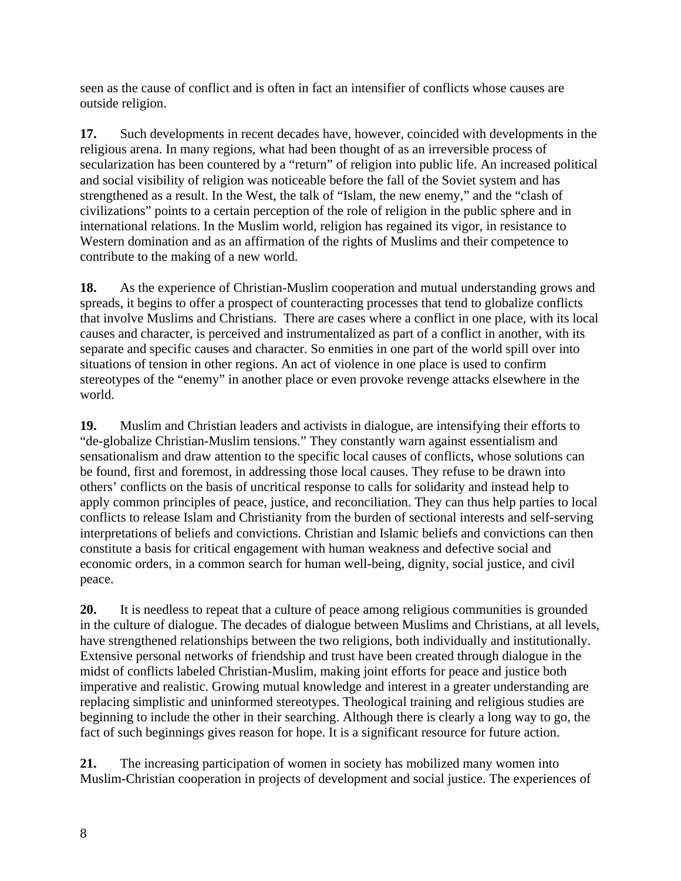seen as the cause of conflict and is often in fact an intensifier of conflicts whose causes are outside religion.

**17.** Such developments in recent decades have, however, coincided with developments in the religious arena. In many regions, what had been thought of as an irreversible process of secularization has been countered by a "return" of religion into public life. An increased political and social visibility of religion was noticeable before the fall of the Soviet system and has strengthened as a result. In the West, the talk of "Islam, the new enemy," and the "clash of civilizations" points to a certain perception of the role of religion in the public sphere and in international relations. In the Muslim world, religion has regained its vigor, in resistance to Western domination and as an affirmation of the rights of Muslims and their competence to contribute to the making of a new world.

**18.** As the experience of Christian-Muslim cooperation and mutual understanding grows and spreads, it begins to offer a prospect of counteracting processes that tend to globalize conflicts that involve Muslims and Christians. There are cases where a conflict in one place, with its local causes and character, is perceived and instrumentalized as part of a conflict in another, with its separate and specific causes and character. So enmities in one part of the world spill over into situations of tension in other regions. An act of violence in one place is used to confirm stereotypes of the "enemy" in another place or even provoke revenge attacks elsewhere in the world.

**19.** Muslim and Christian leaders and activists in dialogue, are intensifying their efforts to "de-globalize Christian-Muslim tensions." They constantly warn against essentialism and sensationalism and draw attention to the specific local causes of conflicts, whose solutions can be found, first and foremost, in addressing those local causes. They refuse to be drawn into others' conflicts on the basis of uncritical response to calls for solidarity and instead help to apply common principles of peace, justice, and reconciliation. They can thus help parties to local conflicts to release Islam and Christianity from the burden of sectional interests and self-serving interpretations of beliefs and convictions. Christian and Islamic beliefs and convictions can then constitute a basis for critical engagement with human weakness and defective social and economic orders, in a common search for human well-being, dignity, social justice, and civil peace.

**20.** It is needless to repeat that a culture of peace among religious communities is grounded in the culture of dialogue. The decades of dialogue between Muslims and Christians, at all levels, have strengthened relationships between the two religions, both individually and institutionally. Extensive personal networks of friendship and trust have been created through dialogue in the midst of conflicts labeled Christian-Muslim, making joint efforts for peace and justice both imperative and realistic. Growing mutual knowledge and interest in a greater understanding are replacing simplistic and uninformed stereotypes. Theological training and religious studies are beginning to include the other in their searching. Although there is clearly a long way to go, the fact of such beginnings gives reason for hope. It is a significant resource for future action.

**21.** The increasing participation of women in society has mobilized many women into Muslim-Christian cooperation in projects of development and social justice. The experiences of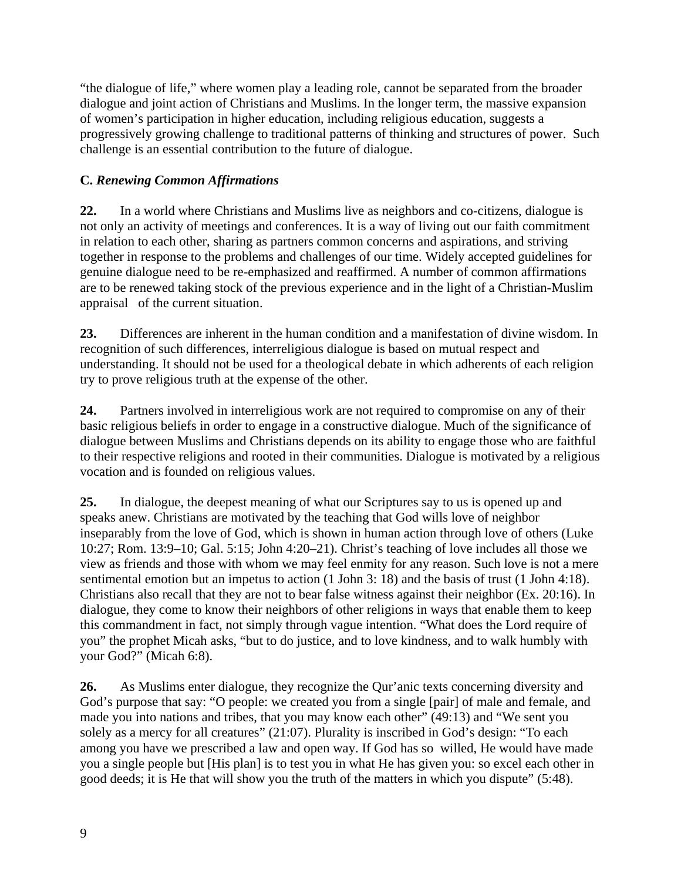"the dialogue of life," where women play a leading role, cannot be separated from the broader dialogue and joint action of Christians and Muslims. In the longer term, the massive expansion of women's participation in higher education, including religious education, suggests a progressively growing challenge to traditional patterns of thinking and structures of power. Such challenge is an essential contribution to the future of dialogue.

## **C.** *Renewing Common Affirmations*

**22.** In a world where Christians and Muslims live as neighbors and co-citizens, dialogue is not only an activity of meetings and conferences. It is a way of living out our faith commitment in relation to each other, sharing as partners common concerns and aspirations, and striving together in response to the problems and challenges of our time. Widely accepted guidelines for genuine dialogue need to be re-emphasized and reaffirmed. A number of common affirmations are to be renewed taking stock of the previous experience and in the light of a Christian-Muslim appraisal of the current situation.

**23.** Differences are inherent in the human condition and a manifestation of divine wisdom. In recognition of such differences, interreligious dialogue is based on mutual respect and understanding. It should not be used for a theological debate in which adherents of each religion try to prove religious truth at the expense of the other.

**24.** Partners involved in interreligious work are not required to compromise on any of their basic religious beliefs in order to engage in a constructive dialogue. Much of the significance of dialogue between Muslims and Christians depends on its ability to engage those who are faithful to their respective religions and rooted in their communities. Dialogue is motivated by a religious vocation and is founded on religious values.

**25.** In dialogue, the deepest meaning of what our Scriptures say to us is opened up and speaks anew. Christians are motivated by the teaching that God wills love of neighbor inseparably from the love of God, which is shown in human action through love of others (Luke 10:27; Rom. 13:9–10; Gal. 5:15; John 4:20–21). Christ's teaching of love includes all those we view as friends and those with whom we may feel enmity for any reason. Such love is not a mere sentimental emotion but an impetus to action (1 John 3: 18) and the basis of trust (1 John 4:18). Christians also recall that they are not to bear false witness against their neighbor (Ex. 20:16). In dialogue, they come to know their neighbors of other religions in ways that enable them to keep this commandment in fact, not simply through vague intention. "What does the Lord require of you" the prophet Micah asks, "but to do justice, and to love kindness, and to walk humbly with your God?" (Micah 6:8).

**26.** As Muslims enter dialogue, they recognize the Qur'anic texts concerning diversity and God's purpose that say: "O people: we created you from a single [pair] of male and female, and made you into nations and tribes, that you may know each other" (49:13) and "We sent you solely as a mercy for all creatures" (21:07). Plurality is inscribed in God's design: "To each among you have we prescribed a law and open way. If God has so willed, He would have made you a single people but [His plan] is to test you in what He has given you: so excel each other in good deeds; it is He that will show you the truth of the matters in which you dispute" (5:48).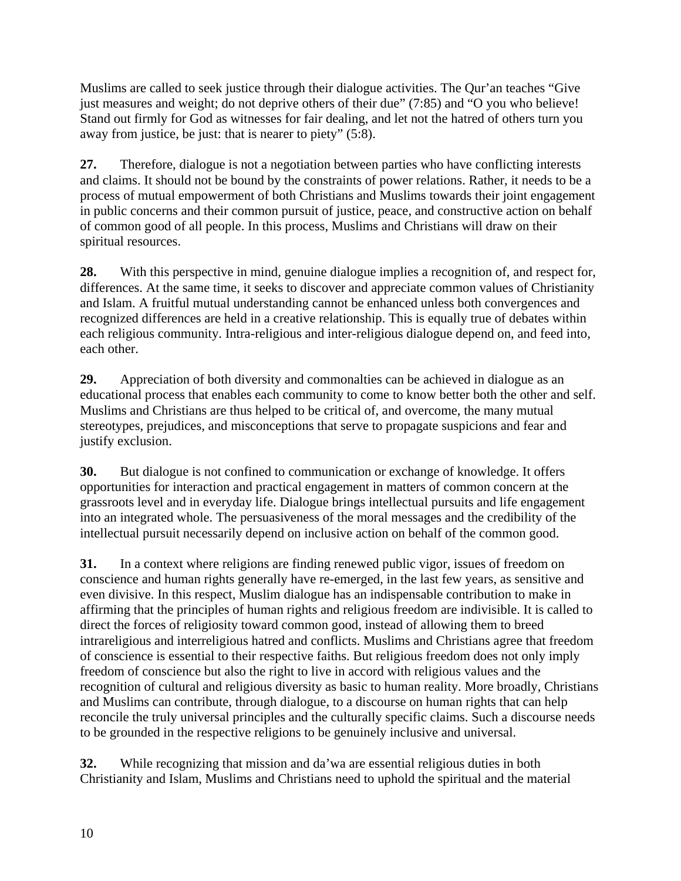Muslims are called to seek justice through their dialogue activities. The Qur'an teaches "Give just measures and weight; do not deprive others of their due" (7:85) and "O you who believe! Stand out firmly for God as witnesses for fair dealing, and let not the hatred of others turn you away from justice, be just: that is nearer to piety" (5:8).

**27.** Therefore, dialogue is not a negotiation between parties who have conflicting interests and claims. It should not be bound by the constraints of power relations. Rather, it needs to be a process of mutual empowerment of both Christians and Muslims towards their joint engagement in public concerns and their common pursuit of justice, peace, and constructive action on behalf of common good of all people. In this process, Muslims and Christians will draw on their spiritual resources.

**28.** With this perspective in mind, genuine dialogue implies a recognition of, and respect for, differences. At the same time, it seeks to discover and appreciate common values of Christianity and Islam. A fruitful mutual understanding cannot be enhanced unless both convergences and recognized differences are held in a creative relationship. This is equally true of debates within each religious community. Intra-religious and inter-religious dialogue depend on, and feed into, each other.

**29.** Appreciation of both diversity and commonalties can be achieved in dialogue as an educational process that enables each community to come to know better both the other and self. Muslims and Christians are thus helped to be critical of, and overcome, the many mutual stereotypes, prejudices, and misconceptions that serve to propagate suspicions and fear and justify exclusion.

**30.** But dialogue is not confined to communication or exchange of knowledge. It offers opportunities for interaction and practical engagement in matters of common concern at the grassroots level and in everyday life. Dialogue brings intellectual pursuits and life engagement into an integrated whole. The persuasiveness of the moral messages and the credibility of the intellectual pursuit necessarily depend on inclusive action on behalf of the common good.

**31.** In a context where religions are finding renewed public vigor, issues of freedom on conscience and human rights generally have re-emerged, in the last few years, as sensitive and even divisive. In this respect, Muslim dialogue has an indispensable contribution to make in affirming that the principles of human rights and religious freedom are indivisible. It is called to direct the forces of religiosity toward common good, instead of allowing them to breed intrareligious and interreligious hatred and conflicts. Muslims and Christians agree that freedom of conscience is essential to their respective faiths. But religious freedom does not only imply freedom of conscience but also the right to live in accord with religious values and the recognition of cultural and religious diversity as basic to human reality. More broadly, Christians and Muslims can contribute, through dialogue, to a discourse on human rights that can help reconcile the truly universal principles and the culturally specific claims. Such a discourse needs to be grounded in the respective religions to be genuinely inclusive and universal.

**32.** While recognizing that mission and da'wa are essential religious duties in both Christianity and Islam, Muslims and Christians need to uphold the spiritual and the material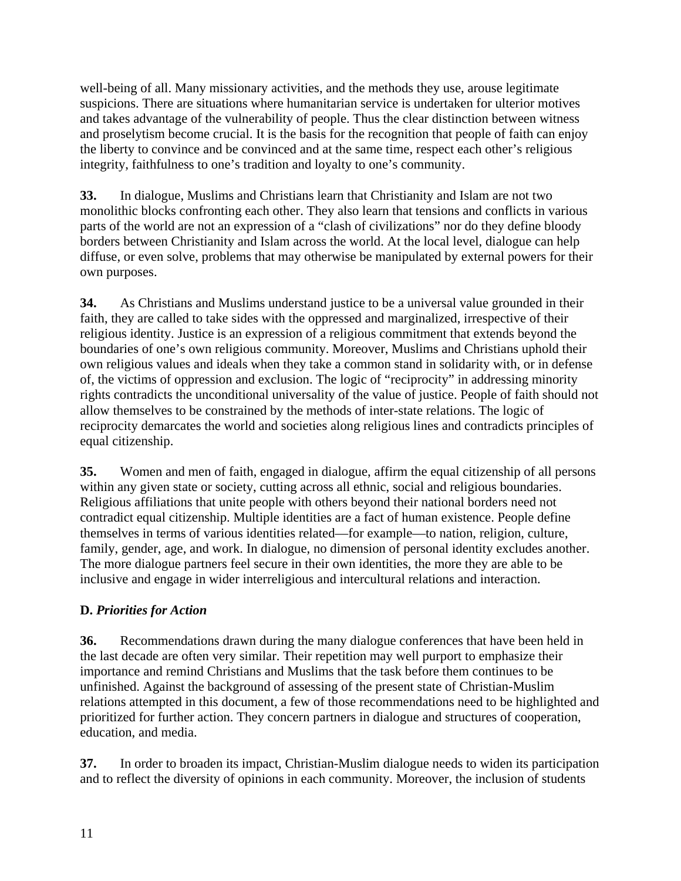well-being of all. Many missionary activities, and the methods they use, arouse legitimate suspicions. There are situations where humanitarian service is undertaken for ulterior motives and takes advantage of the vulnerability of people. Thus the clear distinction between witness and proselytism become crucial. It is the basis for the recognition that people of faith can enjoy the liberty to convince and be convinced and at the same time, respect each other's religious integrity, faithfulness to one's tradition and loyalty to one's community.

**33.** In dialogue, Muslims and Christians learn that Christianity and Islam are not two monolithic blocks confronting each other. They also learn that tensions and conflicts in various parts of the world are not an expression of a "clash of civilizations" nor do they define bloody borders between Christianity and Islam across the world. At the local level, dialogue can help diffuse, or even solve, problems that may otherwise be manipulated by external powers for their own purposes.

**34.** As Christians and Muslims understand justice to be a universal value grounded in their faith, they are called to take sides with the oppressed and marginalized, irrespective of their religious identity. Justice is an expression of a religious commitment that extends beyond the boundaries of one's own religious community. Moreover, Muslims and Christians uphold their own religious values and ideals when they take a common stand in solidarity with, or in defense of, the victims of oppression and exclusion. The logic of "reciprocity" in addressing minority rights contradicts the unconditional universality of the value of justice. People of faith should not allow themselves to be constrained by the methods of inter-state relations. The logic of reciprocity demarcates the world and societies along religious lines and contradicts principles of equal citizenship.

**35.** Women and men of faith, engaged in dialogue, affirm the equal citizenship of all persons within any given state or society, cutting across all ethnic, social and religious boundaries. Religious affiliations that unite people with others beyond their national borders need not contradict equal citizenship. Multiple identities are a fact of human existence. People define themselves in terms of various identities related—for example—to nation, religion, culture, family, gender, age, and work. In dialogue, no dimension of personal identity excludes another. The more dialogue partners feel secure in their own identities, the more they are able to be inclusive and engage in wider interreligious and intercultural relations and interaction.

## **D.** *Priorities for Action*

**36.** Recommendations drawn during the many dialogue conferences that have been held in the last decade are often very similar. Their repetition may well purport to emphasize their importance and remind Christians and Muslims that the task before them continues to be unfinished. Against the background of assessing of the present state of Christian-Muslim relations attempted in this document, a few of those recommendations need to be highlighted and prioritized for further action. They concern partners in dialogue and structures of cooperation, education, and media.

**37.** In order to broaden its impact, Christian-Muslim dialogue needs to widen its participation and to reflect the diversity of opinions in each community. Moreover, the inclusion of students